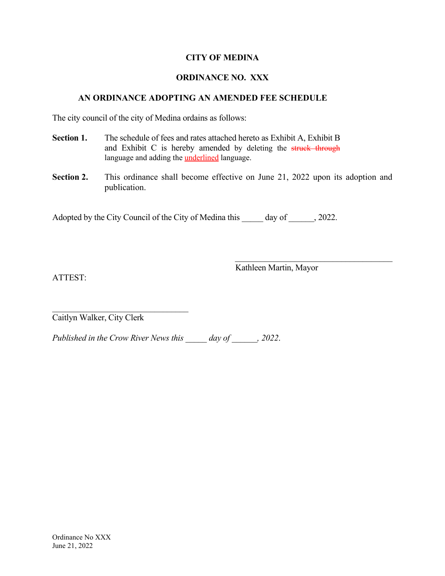## **CITY OF MEDINA**

## **ORDINANCE NO. XXX**

## **AN ORDINANCE ADOPTING AN AMENDED FEE SCHEDULE**

The city council of the city of Medina ordains as follows:

- **Section 1.** The schedule of fees and rates attached hereto as Exhibit A, Exhibit B and Exhibit C is hereby amended by deleting the struck through language and adding the **underlined** language.
- **Section 2.** This ordinance shall become effective on June 21, 2022 upon its adoption and publication.

Adopted by the City Council of the City of Medina this \_\_\_\_\_ day of \_\_\_\_\_, 2022.

ATTEST:

Kathleen Martin, Mayor

 $\mathcal{L}_\text{max}$  and  $\mathcal{L}_\text{max}$  and  $\mathcal{L}_\text{max}$  and  $\mathcal{L}_\text{max}$ 

 $\mathcal{L}_\text{max}$  and  $\mathcal{L}_\text{max}$  and  $\mathcal{L}_\text{max}$  and  $\mathcal{L}_\text{max}$ Caitlyn Walker, City Clerk

*Published in the Crow River News this \_\_\_\_\_ day of \_\_\_\_\_\_, 2022*.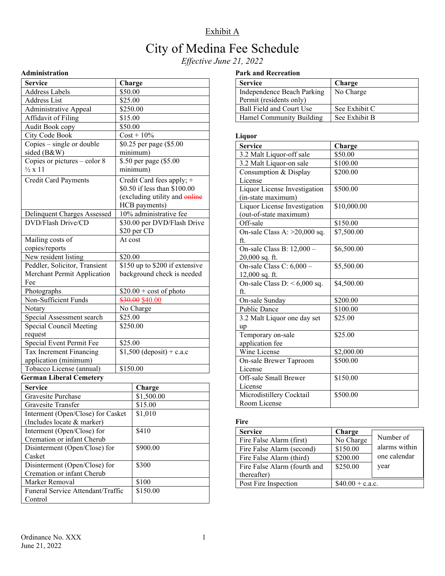## City of Medina Fee Schedule

*Effective June 21, 2022* 

## **Administration**

| <b>Service</b>                    | Charge                                |  |
|-----------------------------------|---------------------------------------|--|
| <b>Address Labels</b>             | \$50.00                               |  |
| <b>Address List</b>               | \$25.00                               |  |
| <b>Administrative Appeal</b>      | \$250.00                              |  |
| Affidavit of Filing               | \$15.00                               |  |
| Audit Book copy                   | \$50.00                               |  |
| City Code Book                    | $Cost + 10\%$                         |  |
| $Copies - single$ or double       | \$0.25 per page (\$5.00               |  |
| sided (B&W)                       | minimum)                              |  |
| Copies or pictures - color 8      | \$.50 per page (\$5.00                |  |
| $\frac{1}{2}x11$                  | minimum)                              |  |
| <b>Credit Card Payments</b>       | Credit Card fees apply; +             |  |
|                                   | \$0.50 if less than \$100.00          |  |
|                                   | (excluding utility and online         |  |
|                                   | HCB payments)                         |  |
| Delinquent Charges Assessed       | 10% administrative fee                |  |
| <b>DVD/Flash Drive/CD</b>         | \$30.00 per DVD/Flash Drive           |  |
|                                   | \$20 per CD                           |  |
| Mailing costs of                  | At cost                               |  |
| copies/reports                    |                                       |  |
| New resident listing              | \$20.00                               |  |
| Peddler, Solicitor, Transient     | \$150 up to \$200 if extensive        |  |
| Merchant Permit Application       | background check is needed            |  |
| Fee                               |                                       |  |
| Photographs                       | $$20.00 + cost of photo$              |  |
| Non-Sufficient Funds              | \$30.00 \$40.00                       |  |
| Notary                            | No Charge                             |  |
| Special Assessment search         | \$25.00                               |  |
| <b>Special Council Meeting</b>    | \$250.00                              |  |
| request                           |                                       |  |
| Special Event Permit Fee          | \$25.00                               |  |
| Tax Increment Financing           | $\overline{$1,500}$ (deposit) + c.a.c |  |
| application (minimum)             |                                       |  |
| Tobacco License (annual)          | \$150.00                              |  |
| <b>German Liberal Cemetery</b>    |                                       |  |
| <b>Service</b>                    | Charge                                |  |
| Gravesite Purchase                | \$1,500.00                            |  |
| Gravesite Transfer                | \$15.00                               |  |
| Interment (Open/Close) for Casket | \$1,010                               |  |
| (Includes locate & marker)        |                                       |  |
| Interment (Open/Close) for        | \$410                                 |  |
| Cremation or infant Cherub        |                                       |  |
| Disinterment (Open/Close) for     | \$900.00                              |  |
| Casket                            |                                       |  |
| Disinterment (Open/Close) for     | \$300                                 |  |
| Cremation or infant Cherub        |                                       |  |
| Marker Removal                    | \$100                                 |  |

### **Park and Recreation**

| <b>Service</b>             | Charge        |
|----------------------------|---------------|
| Independence Beach Parking | No Charge     |
| Permit (residents only)    |               |
| Ball Field and Court Use   | See Exhibit C |
| Hamel Community Building   | See Exhibit B |

## **Liquor**

| ruduot                         |             |
|--------------------------------|-------------|
| <b>Service</b>                 | Charge      |
| 3.2 Malt Liquor-off sale       | \$50.00     |
| 3.2 Malt Liquor-on sale        | \$100.00    |
| Consumption & Display          | \$200.00    |
| License                        |             |
| Liquor License Investigation   | \$500.00    |
| (in-state maximum)             |             |
| Liquor License Investigation   | \$10,000.00 |
| (out-of-state maximum)         |             |
| Off-sale                       | \$150.00    |
| On-sale Class A: $>20,000$ sq. | \$7,500.00  |
| ft.                            |             |
| On-sale Class B: 12,000 -      | \$6,500.00  |
| $20,000$ sq. ft.               |             |
| On-sale Class C: 6,000 -       | \$5,500.00  |
| 12,000 sq. ft.                 |             |
| On-sale Class D: $< 6,000$ sq. | \$4,500.00  |
| ft.                            |             |
| On-sale Sunday                 | \$200.00    |
| <b>Public Dance</b>            | \$100.00    |
| 3.2 Malt Liquor one day set    | \$25.00     |
| up                             |             |
| Temporary on-sale              | \$25.00     |
| application fee                |             |
| Wine License                   | \$2,000.00  |
| On-sale Brewer Taproom         | \$500.00    |
| License                        |             |
| Off-sale Small Brewer          | \$150.00    |
| License                        |             |
| Microdistillery Cocktail       | \$500.00    |
| Room License                   |             |

## **Fire**

| <b>Service</b>               | Charge            |               |
|------------------------------|-------------------|---------------|
| Fire False Alarm (first)     | No Charge         | Number of     |
| Fire False Alarm (second)    | \$150.00          | alarms within |
| Fire False Alarm (third)     | \$200.00          | one calendar  |
| Fire False Alarm (fourth and | \$250.00          | year          |
| thereafter)                  |                   |               |
| Post Fire Inspection         | $$40.00 + c.a.c.$ |               |

Control

Funeral Service Attendant/Traffic

\$150.00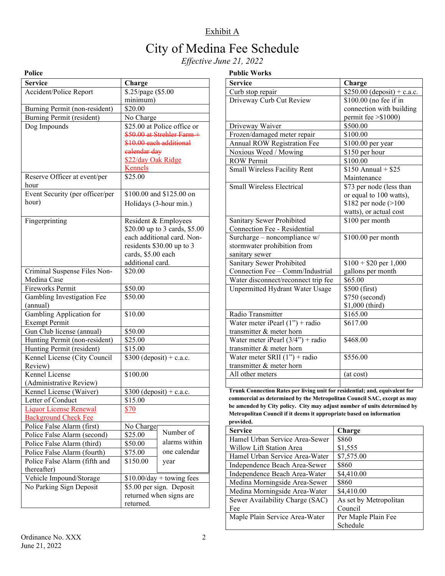# City of Medina Fee Schedule

*Effective June 21, 2022* 

| í |
|---|
|   |

## **Public Works**

| 1 опсе                          |                               |
|---------------------------------|-------------------------------|
| Service                         | Charge                        |
| Accident/Police Report          | \$.25/page (\$5.00            |
|                                 | minimum)                      |
| Burning Permit (non-resident)   | \$20.00                       |
| Burning Permit (resident)       | No Charge                     |
| Dog Impounds                    | \$25.00 at Police office or   |
|                                 | \$50.00 at Strehler Farm +    |
|                                 | \$10.00 each additional       |
|                                 | ealendar day                  |
|                                 | \$22/day Oak Ridge            |
|                                 | <u>Kennels</u>                |
| Reserve Officer at event/per    | \$25.00                       |
| hour                            |                               |
| Event Security (per officer/per | \$100.00 and \$125.00 on      |
| hour)                           | Holidays (3-hour min.)        |
|                                 |                               |
| Fingerprinting                  | Resident & Employees          |
|                                 | \$20.00 up to 3 cards, \$5.00 |
|                                 | each additional card. Non-    |
|                                 | residents \$30.00 up to 3     |
|                                 | cards, \$5.00 each            |
|                                 | additional card.              |
| Criminal Suspense Files Non-    | \$20.00                       |
| Medina Case                     |                               |
| Fireworks Permit                | \$50.00                       |
| Gambling Investigation Fee      | \$50.00                       |
| (annual)                        |                               |
| Gambling Application for        | \$10.00                       |
| <b>Exempt Permit</b>            |                               |
| Gun Club license (annual)       | \$50.00                       |
| Hunting Permit (non-resident)   | \$25.00                       |
| Hunting Permit (resident)       | \$15.00                       |
| Kennel License (City Council    | $$300$ (deposit) + c.a.c.     |
| Review)                         |                               |
| Kennel License                  | \$100.00                      |
| (Administrative Review)         |                               |
| Kennel License (Waiver)         | $$300$ (deposit) + c.a.c.     |
| Letter of Conduct               | \$15.00                       |
| <b>Liquor License Renewal</b>   | \$70                          |
| <b>Background Check Fee</b>     |                               |
| Police False Alarm (first)      | No Charge                     |
| Police False Alarm (second)     | Number of<br>\$25.00          |
| Police False Alarm (third)      | alarms within<br>\$50.00      |
| Police False Alarm (fourth)     | one calendar<br>\$75.00       |
| Police False Alarm (fifth and   | \$150.00                      |
|                                 | year                          |
| thereafter)                     |                               |
| Vehicle Impound/Storage         | $$10.00/day + towing fees$    |
| No Parking Sign Deposit         | \$5.00 per sign. Deposit      |
|                                 | returned when signs are       |
|                                 | returned.                     |

| <b>Service</b>                      | Charge                      |
|-------------------------------------|-----------------------------|
| Curb stop repair                    | \$250.00 (deposit) + c.a.c. |
| Driveway Curb Cut Review            | \$100.00 (no fee if in      |
|                                     | connection with building    |
|                                     | permit fee $> $1000$ )      |
| Driveway Waiver                     | \$500.00                    |
| Frozen/damaged meter repair         | \$100.00                    |
| <b>Annual ROW Registration Fee</b>  | \$100.00 per year           |
| Noxious Weed / Mowing               | \$150 per hour              |
| <b>ROW</b> Permit                   | \$100.00                    |
| Small Wireless Facility Rent        | $$150$ Annual + $$25$       |
|                                     | Maintenance                 |
| <b>Small Wireless Electrical</b>    | \$73 per node (less than    |
|                                     | or equal to 100 watts),     |
|                                     | \$182 per node $(>100$      |
|                                     | watts), or actual cost      |
| Sanitary Sewer Prohibited           | \$100 per month             |
| Connection Fee - Residential        |                             |
| Surcharge - noncompliance w/        | $$100.00$ per month         |
| stormwater prohibition from         |                             |
| sanitary sewer                      |                             |
| Sanitary Sewer Prohibited           | $$100 + $20$ per 1,000      |
| Connection Fee - Comm/Industrial    | gallons per month           |
| Water disconnect/reconnect trip fee | \$65.00                     |
| Unpermitted Hydrant Water Usage     | \$500 (first)               |
|                                     | \$750 (second)              |
|                                     | \$1,000 (third)             |
| Radio Transmitter                   | \$165.00                    |
| Water meter iPearl $(1")$ + radio   | \$617.00                    |
| transmitter & meter horn            |                             |
| Water meter iPearl $(3/4")$ + radio | \$468.00                    |
| transmitter & meter horn            |                             |
| Water meter SRII $(1")$ + radio     | \$556.00                    |
| transmitter & meter horn            |                             |
| All other meters                    | (at cost)                   |

**Trunk Connection Rates per living unit for residential; and, equivalent for commercial as determined by the Metropolitan Council SAC, except as may be amended by City policy. City may adjust number of units determined by Metropolitan Council if it deems it appropriate based on information provided.**

| <b>Service</b>                  | Charge                 |
|---------------------------------|------------------------|
| Hamel Urban Service Area-Sewer  | \$860                  |
| Willow Lift Station Area        | \$1,555                |
| Hamel Urban Service Area-Water  | \$7,575.00             |
| Independence Beach Area-Sewer   | \$860                  |
| Independence Beach Area-Water   | \$4,410.00             |
| Medina Morningside Area-Sewer   | \$860                  |
| Medina Morningside Area-Water   | \$4,410.00             |
| Sewer Availability Charge (SAC) | As set by Metropolitan |
| Fee                             | Council                |
| Maple Plain Service Area-Water  | Per Maple Plain Fee    |
|                                 | Schedule               |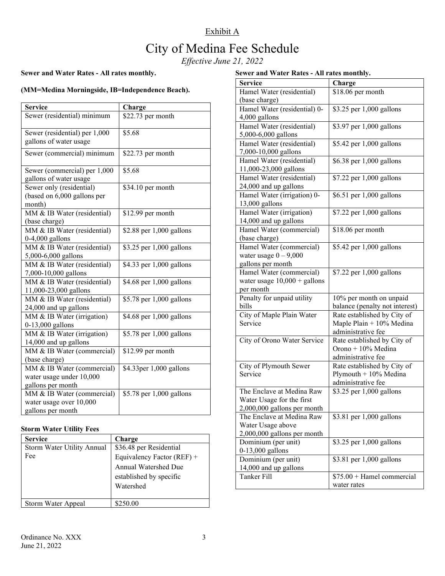## City of Medina Fee Schedule

*Effective June 21, 2022*

## **Sewer and Water Rates - All rates monthly.**

## **(MM=Medina Morningside, IB=Independence Beach).**

| <b>Service</b>                                      | Charge                   |
|-----------------------------------------------------|--------------------------|
| Sewer (residential) minimum                         | \$22.73 per month        |
|                                                     |                          |
| Sewer (residential) per 1,000                       | \$5.68                   |
| gallons of water usage                              |                          |
| Sewer (commercial) minimum                          | \$22.73 per month        |
| Sewer (commercial) per 1,000                        | \$5.68                   |
| gallons of water usage                              |                          |
| Sewer only (residential)                            | \$34.10 per month        |
| (based on 6,000 gallons per                         |                          |
| month)                                              |                          |
| MM & IB Water (residential)                         | \$12.99 per month        |
| (base charge)                                       |                          |
| MM & IB Water (residential)                         | \$2.88 per 1,000 gallons |
| $0-4,000$ gallons                                   |                          |
| MM & IB Water (residential)                         | \$3.25 per 1,000 gallons |
| 5,000-6,000 gallons                                 |                          |
| MM & IB Water (residential)                         | \$4.33 per 1,000 gallons |
| 7,000-10,000 gallons                                |                          |
| MM & IB Water (residential)                         | \$4.68 per 1,000 gallons |
| 11,000-23,000 gallons                               |                          |
| MM & IB Water (residential)                         | \$5.78 per 1,000 gallons |
| 24,000 and up gallons                               |                          |
| MM & IB Water (irrigation)                          | \$4.68 per 1,000 gallons |
| 0-13,000 gallons                                    |                          |
| MM & IB Water (irrigation)<br>14,000 and up gallons | \$5.78 per 1,000 gallons |
| MM & IB Water (commercial)                          | \$12.99 per month        |
| (base charge)                                       |                          |
| MM & IB Water (commercial)                          | \$4.33per 1,000 gallons  |
| water usage under 10,000                            |                          |
| gallons per month                                   |                          |
| MM & IB Water (commercial)                          | \$5.78 per 1,000 gallons |
| water usage over 10,000                             |                          |
| gallons per month                                   |                          |

### **Storm Water Utility Fees**

| <b>Service</b>             | Charge                     |
|----------------------------|----------------------------|
| Storm Water Utility Annual | \$36.48 per Residential    |
| Fee                        | Equivalency Factor (REF) + |
|                            | Annual Watershed Due       |
|                            | established by specific    |
|                            | Watershed                  |
|                            |                            |
| Storm Water Appeal         | \$250.00                   |

### **Sewer and Water Rates - All rates monthly.**

| <b>Service</b>                 | Charge                         |
|--------------------------------|--------------------------------|
| Hamel Water (residential)      | \$18.06 per month              |
| (base charge)                  |                                |
| Hamel Water (residential) 0-   | \$3.25 per 1,000 gallons       |
| 4,000 gallons                  |                                |
| Hamel Water (residential)      | \$3.97 per 1,000 gallons       |
| 5,000-6,000 gallons            |                                |
| Hamel Water (residential)      | \$5.42 per 1,000 gallons       |
| 7,000-10,000 gallons           |                                |
| Hamel Water (residential)      | \$6.38 per 1,000 gallons       |
| 11,000-23,000 gallons          |                                |
| Hamel Water (residential)      | \$7.22 per 1,000 gallons       |
| 24,000 and up gallons          |                                |
| Hamel Water (irrigation) 0-    | \$6.51 per 1,000 gallons       |
| 13,000 gallons                 |                                |
| Hamel Water (irrigation)       | \$7.22 per 1,000 gallons       |
| 14,000 and up gallons          |                                |
| Hamel Water (commercial)       | \$18.06 per month              |
| (base charge)                  |                                |
| Hamel Water (commercial)       | \$5.42 per 1,000 gallons       |
| water usage $0 - 9,000$        |                                |
| gallons per month              |                                |
| Hamel Water (commercial)       | \$7.22 per 1,000 gallons       |
| water usage $10,000 +$ gallons |                                |
| per month                      |                                |
| Penalty for unpaid utility     | 10% per month on unpaid        |
| bills                          | balance (penalty not interest) |
| City of Maple Plain Water      | Rate established by City of    |
| Service                        | Maple Plain + 10% Medina       |
|                                | administrative fee             |
| City of Orono Water Service    | Rate established by City of    |
|                                | Orono + 10% Medina             |
|                                | administrative fee             |
| City of Plymouth Sewer         | Rate established by City of    |
| Service                        | Plymouth $+10\%$ Medina        |
|                                | administrative fee             |
| The Enclave at Medina Raw      | \$3.25 per 1,000 gallons       |
| Water Usage for the first      |                                |
| 2,000,000 gallons per month    |                                |
| The Enclave at Medina Raw      | \$3.81 per 1,000 gallons       |
| Water Usage above              |                                |
| 2,000,000 gallons per month    |                                |
| Dominium (per unit)            | \$3.25 per 1,000 gallons       |
| 0-13,000 gallons               |                                |
| Dominium (per unit)            | \$3.81 per 1,000 gallons       |
| 14,000 and up gallons          |                                |
| <b>Tanker Fill</b>             | $$75.00 + Hamel$ commercial    |
|                                | water rates                    |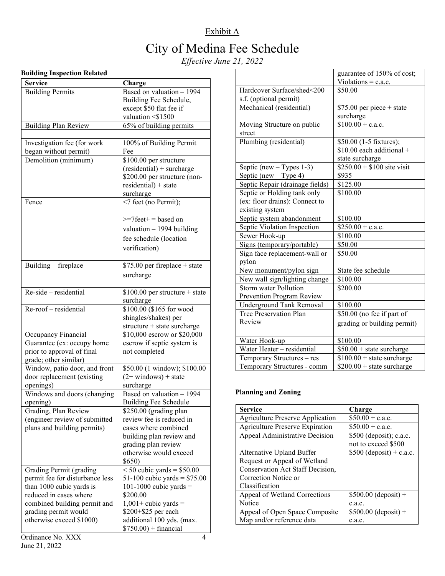## Exhibit A City of Medina Fee Schedule *Effective June 21, 2022*

## **Building Inspection Related**

| Service                         | Charge                          |
|---------------------------------|---------------------------------|
| <b>Building Permits</b>         | Based on valuation - 1994       |
|                                 | Building Fee Schedule,          |
|                                 |                                 |
|                                 | except \$50 flat fee if         |
|                                 | valuation <\$1500               |
| <b>Building Plan Review</b>     | 65% of building permits         |
|                                 |                                 |
| Investigation fee (for work     | 100% of Building Permit         |
| began without permit)           | Fee                             |
| Demolition (minimum)            | \$100.00 per structure          |
|                                 | $(residental)$ + surcharge      |
|                                 | \$200.00 per structure (non-    |
|                                 | $residental) + state$           |
|                                 | surcharge                       |
| Fence                           | <7 feet (no Permit);            |
|                                 | $\ge$ =7feet+ = based on        |
|                                 | valuation $-1994$ building      |
|                                 | fee schedule (location          |
|                                 | verification)                   |
|                                 |                                 |
| Building - fireplace            | $$75.00$ per fireplace + state  |
|                                 | surcharge                       |
|                                 |                                 |
| Re-side - residential           | $$100.00$ per structure + state |
|                                 | surcharge                       |
| Re-roof - residential           | \$100.00 (\$165 for wood        |
|                                 | shingles/shakes) per            |
|                                 | structure + state surcharge     |
| Occupancy Financial             | \$10,000 escrow or \$20,000     |
| Guarantee (ex: occupy home      | escrow if septic system is      |
| prior to approval of final      | not completed                   |
| grade; other similar)           |                                 |
| Window, patio door, and front   | \$50.00 (1 window); \$100.00    |
| door replacement (existing      | $(2+$ windows) + state          |
| openings)                       | surcharge                       |
| Windows and doors (changing     | Based on valuation - 1994       |
| opening)                        | <b>Building Fee Schedule</b>    |
| Grading, Plan Review            | \$250.00 (grading plan          |
| (engineer review of submitted   | review fee is reduced in        |
| plans and building permits)     | cases where combined            |
|                                 | building plan review and        |
|                                 | grading plan review             |
|                                 | otherwise would exceed          |
|                                 | \$650)                          |
| Grading Permit (grading         | $< 50$ cubic yards = \$50.00    |
| permit fee for disturbance less | 51-100 cubic yards = $$75.00$   |
| than 1000 cubic yards is        | 101-1000 cubic yards $=$        |
| reduced in cases where          | \$200.00                        |
| combined building permit and    | $1,001+$ cubic yards =          |
| grading permit would            | \$200+\$25 per each             |
| otherwise exceed \$1000)        | additional 100 yds. (max.       |
|                                 | $$750.00$ + financial           |

|                                 | guarantee of 150% of cost;        |
|---------------------------------|-----------------------------------|
|                                 | Violations = $c.a.c.$             |
| Hardcover Surface/shed<200      | \$50.00                           |
| s.f. (optional permit)          |                                   |
| Mechanical (residential)        | $$75.00$ per piece + state        |
|                                 | surcharge                         |
| Moving Structure on public      | $$100.00 + c.a.c.$                |
| street                          |                                   |
| Plumbing (residential)          | \$50.00 (1-5 fixtures);           |
|                                 | $$10.00$ each additional +        |
|                                 | state surcharge                   |
| Septic (new $-$ Types 1-3)      | $$250.00 + $100$ site visit       |
| Septic (new $-$ Type 4)         | \$935                             |
| Septic Repair (drainage fields) | \$125.00                          |
| Septic or Holding tank only     | \$100.00                          |
| (ex: floor drains): Connect to  |                                   |
| existing system                 |                                   |
| Septic system abandonment       | \$100.00                          |
| Septic Violation Inspection     | $$250.00 + c.a.c.$                |
| Sewer Hook-up                   | \$100.00                          |
| Signs (temporary/portable)      | \$50.00                           |
| Sign face replacement-wall or   | \$50.00                           |
| pylon                           |                                   |
| New monument/pylon sign         | State fee schedule                |
| New wall sign/lighting change   | \$100.00                          |
| Storm water Pollution           | \$200.00                          |
| Prevention Program Review       |                                   |
| <b>Underground Tank Removal</b> | \$100.00                          |
| Tree Preservation Plan          | \$50.00 (no fee if part of        |
| Review                          | grading or building permit)       |
|                                 |                                   |
| Water Hook-up                   | \$100.00                          |
| Water Heater - residential      | $$50.00 + state$ surcharge        |
| Temporary Structures - res      | $$100.00 + state-surelarge$       |
| Temporary Structures - comm     | $$200.00 + state$ state surcharge |

## **Planning and Zoning**

| <b>Service</b>                          | Charge                    |
|-----------------------------------------|---------------------------|
| <b>Agriculture Preserve Application</b> | $$50.00 + c.a.c.$         |
| <b>Agriculture Preserve Expiration</b>  | $$50.00 + c.a.c.$         |
| Appeal Administrative Decision          | \$500 (deposit); c.a.c.   |
|                                         | not to exceed \$500       |
| Alternative Upland Buffer               | $$500$ (deposit) + c.a.c. |
| Request or Appeal of Wetland            |                           |
| Conservation Act Staff Decision,        |                           |
| Correction Notice or                    |                           |
| Classification                          |                           |
| Appeal of Wetland Corrections           | $$500.00$ (deposit) +     |
| Notice                                  | c.a.c.                    |
| Appeal of Open Space Composite          | $$500.00$ (deposit) +     |
| Map and/or reference data               | c.a.c.                    |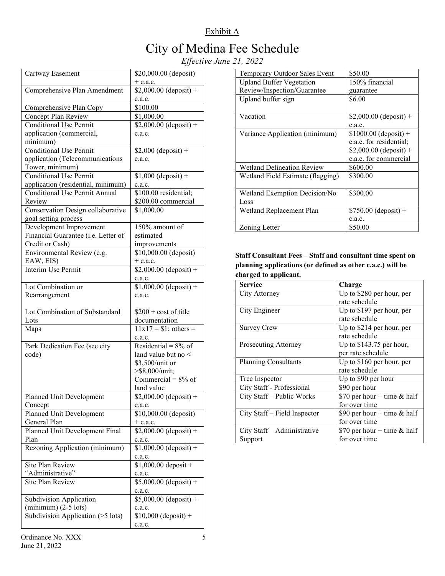# City of Medina Fee Schedule

*Effective June 21, 2022*

| Cartway Easement                     | \$20,000.00 (deposit)<br>$+$ c.a.c. |
|--------------------------------------|-------------------------------------|
| Comprehensive Plan Amendment         | $$2,000.00$ (deposit) +<br>c.a.c.   |
| Comprehensive Plan Copy              | \$100.00                            |
| Concept Plan Review                  | \$1,000.00                          |
| <b>Conditional Use Permit</b>        | $$2,000.00$ (deposit) +             |
| application (commercial,             | c.a.c.                              |
| minimum)                             |                                     |
| <b>Conditional Use Permit</b>        | $$2,000$ (deposit) +                |
| application (Telecommunications      | c.a.c.                              |
| Tower, minimum)                      |                                     |
| <b>Conditional Use Permit</b>        | $$1,000$ (deposit) +                |
| application (residential, minimum)   | c.a.c.                              |
| <b>Conditional Use Permit Annual</b> | $\overline{$100.00}$$ residential;  |
| Review                               | \$200.00 commercial                 |
| Conservation Design collaborative    | \$1,000.00                          |
| goal setting process                 |                                     |
| Development Improvement              | 150% amount of                      |
| Financial Guarantee (i.e. Letter of  | estimated                           |
| Credit or Cash)                      | improvements                        |
| Environmental Review (e.g.           | \$10,000.00 (deposit)               |
| EAW, EIS)                            | $+$ c.a.c.                          |
| Interim Use Permit                   | $$2,000.00$ (deposit) +             |
|                                      | c.a.c.                              |
| Lot Combination or                   | $$1,000.00$ (deposit) +             |
| Rearrangement                        | c.a.c.                              |
| Lot Combination of Substandard       | $$200 + cost of title$              |
| Lots                                 | documentation                       |
| Maps                                 | $11x17 = $1$ ; others =             |
|                                      | c.a.c.                              |
| Park Dedication Fee (see city        | Residential = $8\%$ of              |
| code)                                | land value but no $\leq$            |
|                                      | \$3,500/unit or                     |
|                                      | >\$8,000/unit;                      |
|                                      | Commercial = $8\%$ of               |
|                                      | land value                          |
| Planned Unit Development             | $$2,000.00$ (deposit) +             |
| Concept                              | c.a.c.                              |
| Planned Unit Development             | \$10,000.00 (deposit)               |
| General Plan                         | $+$ c.a.c.                          |
| Planned Unit Development Final       | $$2,000.00$ (deposit) +             |
| Plan                                 | c.a.c.                              |
| Rezoning Application (minimum)       | $$1,000.00$ (deposit) +             |
|                                      | c.a.c.                              |
| Site Plan Review                     | $$1,000.00$ deposit +               |
| "Administrative"                     | c.a.c.                              |
| Site Plan Review                     | $$5,000.00$ (deposit) +<br>c.a.c.   |
| <b>Subdivision Application</b>       | $$5,000.00$ (deposit) +             |
| $(minimum)$ (2-5 lots)               | c.a.c.                              |
| Subdivision Application (>5 lots)    | $$10,000$ (deposit) +               |
|                                      | c.a.c.                              |

| Temporary Outdoor Sales Event     | \$50.00                 |
|-----------------------------------|-------------------------|
| <b>Upland Buffer Vegetation</b>   | 150% financial          |
| Review/Inspection/Guarantee       | guarantee               |
| Upland buffer sign                | \$6.00                  |
|                                   |                         |
| Vacation                          | $$2,000.00$ (deposit) + |
|                                   | c.a.c.                  |
| Variance Application (minimum)    | $$1000.00$ (deposit) +  |
|                                   | c.a.c. for residential; |
|                                   | $$2,000.00$ (deposit) + |
|                                   | c.a.c. for commercial   |
| <b>Wetland Delineation Review</b> | \$600.00                |
| Wetland Field Estimate (flagging) | \$300.00                |
|                                   |                         |
| Wetland Exemption Decision/No     | \$300.00                |
| Loss                              |                         |
| Wetland Replacement Plan          | $$750.00$ (deposit) +   |
|                                   | c.a.c.                  |
| Zoning Letter                     | \$50.00                 |

## **Staff Consultant Fees – Staff and consultant time spent on planning applications (or defined as other c.a.c.) will be charged to applicant.**

| <b>Service</b>               | Charge                        |
|------------------------------|-------------------------------|
| City Attorney                | Up to \$280 per hour, per     |
|                              | rate schedule                 |
| City Engineer                | Up to \$197 per hour, per     |
|                              | rate schedule                 |
| <b>Survey Crew</b>           | Up to \$214 per hour, per     |
|                              | rate schedule                 |
| Prosecuting Attorney         | Up to $$143.75$ per hour,     |
|                              | per rate schedule             |
| <b>Planning Consultants</b>  | Up to \$160 per hour, per     |
|                              | rate schedule                 |
| Tree Inspector               | Up to \$90 per hour           |
| City Staff - Professional    | \$90 per hour                 |
| City Staff - Public Works    | \$70 per hour + time $&$ half |
|                              | for over time                 |
| City Staff – Field Inspector | \$90 per hour + time $&$ half |
|                              | for over time                 |
| City Staff - Administrative  | \$70 per hour + time $&$ half |
| Support                      | for over time                 |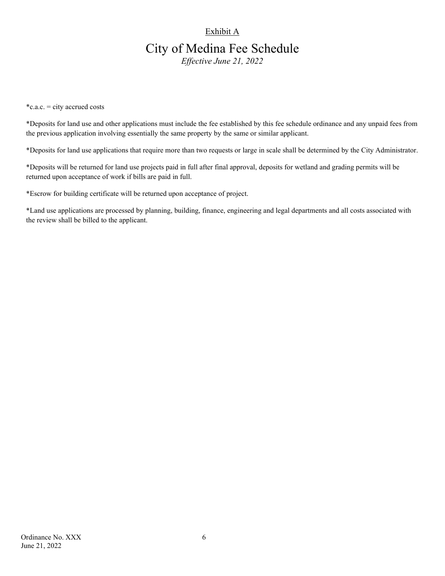## City of Medina Fee Schedule

*Effective June 21, 2022*

\*c.a.c. = city accrued costs

\*Deposits for land use and other applications must include the fee established by this fee schedule ordinance and any unpaid fees from the previous application involving essentially the same property by the same or similar applicant.

\*Deposits for land use applications that require more than two requests or large in scale shall be determined by the City Administrator.

\*Deposits will be returned for land use projects paid in full after final approval, deposits for wetland and grading permits will be returned upon acceptance of work if bills are paid in full.

\*Escrow for building certificate will be returned upon acceptance of project.

\*Land use applications are processed by planning, building, finance, engineering and legal departments and all costs associated with the review shall be billed to the applicant.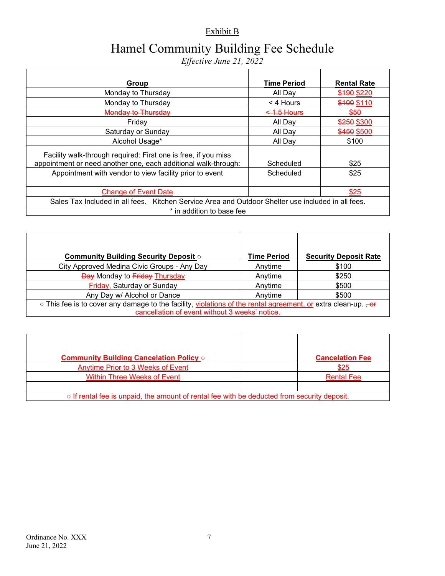## Exhibit B

# Hamel Community Building Fee Schedule

*Effective June 21, 2022* 

| Group                                                                                              | <b>Time Period</b> | <b>Rental Rate</b> |
|----------------------------------------------------------------------------------------------------|--------------------|--------------------|
| Monday to Thursday                                                                                 | All Day            | \$190 \$220        |
| Monday to Thursday                                                                                 | $<$ 4 Hours        | \$100 \$110        |
| Monday to Thursday                                                                                 | $<$ 1.5 Hours      | \$50               |
| Fridav                                                                                             | All Dav            | \$250 \$300        |
| Saturday or Sunday                                                                                 | All Dav            | \$450 \$500        |
| Alcohol Usage*                                                                                     | All Dav            | \$100              |
| Facility walk-through required: First one is free, if you miss                                     |                    |                    |
| appointment or need another one, each additional walk-through:                                     | Scheduled          | \$25               |
| Appointment with vendor to view facility prior to event                                            | Scheduled          | \$25               |
|                                                                                                    |                    |                    |
| <b>Change of Event Date</b>                                                                        |                    | \$25               |
| Sales Tax Included in all fees. Kitchen Service Area and Outdoor Shelter use included in all fees. |                    |                    |
| * in addition to base fee                                                                          |                    |                    |

| <b>Community Building Security Deposit of</b>                                                                             | Time Period | <b>Security Deposit Rate</b> |
|---------------------------------------------------------------------------------------------------------------------------|-------------|------------------------------|
| City Approved Medina Civic Groups - Any Day                                                                               | Anytime     | \$100                        |
| <b>Day Monday to Friday Thursday</b>                                                                                      | Anytime     | \$250                        |
| Friday, Saturday or Sunday                                                                                                | Anytime     | \$500                        |
| Any Day w/ Alcohol or Dance                                                                                               | Anytime     | \$500                        |
| ○ This fee is to cover any damage to the facility, violations of the rental agreement, or extra clean-up. <del>, or</del> |             |                              |
| cancellation of event without 3 weeks' notice.                                                                            |             |                              |

| <b>Community Building Cancelation Policy of</b>                                                   | <b>Cancelation Fee</b> |
|---------------------------------------------------------------------------------------------------|------------------------|
| Anytime Prior to 3 Weeks of Event                                                                 | \$25                   |
| <b>Within Three Weeks of Event</b>                                                                | <b>Rental Fee</b>      |
|                                                                                                   |                        |
| $\circ$ If rental fee is unpaid, the amount of rental fee with be deducted from security deposit. |                        |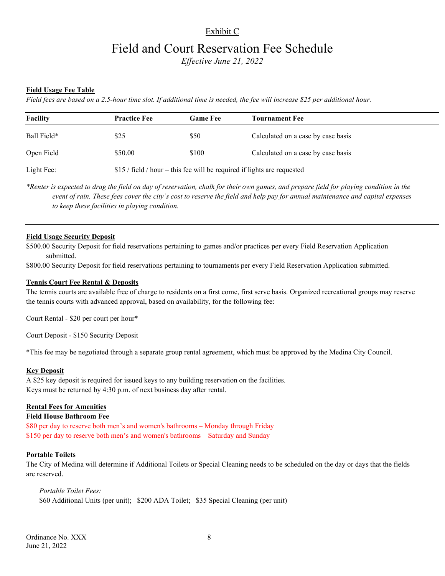## Exhibit C

## Field and Court Reservation Fee Schedule

*Effective June 21, 2022* 

### **Field Usage Fee Table**

*Field fees are based on a 2.5-hour time slot. If additional time is needed, the fee will increase \$25 per additional hour.*

| Facility    | <b>Practice Fee</b>                                                      | <b>Game Fee</b> | <b>Tournament Fee</b>              |
|-------------|--------------------------------------------------------------------------|-----------------|------------------------------------|
| Ball Field* | \$25                                                                     | \$50            | Calculated on a case by case basis |
| Open Field  | \$50.00                                                                  | \$100           | Calculated on a case by case basis |
| Light Fee:  | $$15$ / field / hour – this fee will be required if lights are requested |                 |                                    |

*\*Renter is expected to drag the field on day of reservation, chalk for their own games, and prepare field for playing condition in the event of rain. These fees cover the city's cost to reserve the field and help pay for annual maintenance and capital expenses to keep these facilities in playing condition.* 

#### **Field Usage Security Deposit**

\$500.00 Security Deposit for field reservations pertaining to games and/or practices per every Field Reservation Application submitted.

\$800.00 Security Deposit for field reservations pertaining to tournaments per every Field Reservation Application submitted.

#### **Tennis Court Fee Rental & Deposits**

The tennis courts are available free of charge to residents on a first come, first serve basis. Organized recreational groups may reserve the tennis courts with advanced approval, based on availability, for the following fee:

Court Rental - \$20 per court per hour\*

Court Deposit - \$150 Security Deposit

\*This fee may be negotiated through a separate group rental agreement, which must be approved by the Medina City Council.

#### **Key Deposit**

A \$25 key deposit is required for issued keys to any building reservation on the facilities. Keys must be returned by 4:30 p.m. of next business day after rental.

#### **Rental Fees for Amenities**

#### **Field House Bathroom Fee**

\$80 per day to reserve both men's and women's bathrooms – Monday through Friday \$150 per day to reserve both men's and women's bathrooms – Saturday and Sunday

#### **Portable Toilets**

The City of Medina will determine if Additional Toilets or Special Cleaning needs to be scheduled on the day or days that the fields are reserved.

*Portable Toilet Fees:* \$60 Additional Units (per unit); \$200 ADA Toilet; \$35 Special Cleaning (per unit)

Ordinance No. XXX 8 June 21, 2022